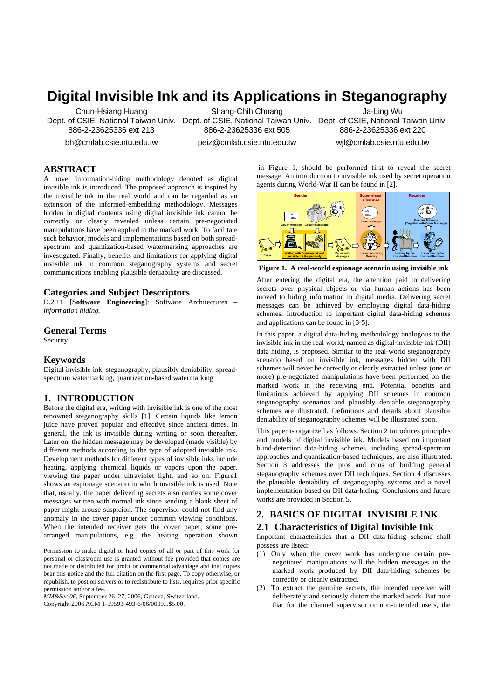# **Digital Invisible Ink and its Applications in Steganography**

Chun-Hsiang Huang Dept. of CSIE, National Taiwan Univ. Dept. of CSIE, National Taiwan Univ. Dept. of CSIE, National Taiwan Univ. 886-2-23625336 ext 213

bh@cmlab.csie.ntu.edu.tw

Shang-Chih Chuang 886-2-23625336 ext 505

Ja-Ling Wu 886-2-23625336 ext 220

wjl@cmlab.csie.ntu.edu.tw

peiz@cmlab.csie.ntu.edu.tw

**ABSTRACT**

A novel information-hiding methodology denoted as digital invisible ink is introduced. The proposed approach is inspired by the invisible ink in the real world and can be regarded as an extension of the informed-embedding methodology. Messages hidden in digital contents using digital invisible ink cannot be correctly or clearly revealed unless certain pre-negotiated manipulations have been applied to the marked work. To facilitate such behavior, models and implementations based on both spreadspectrum and quantization-based watermarking approaches are investigated. Finally, benefits and limitations for applying digital invisible ink in common steganography systems and secret communications enabling plausible deniability are discussed.

#### **Categories and Subject Descriptors**

D.2.11 [**Software Engineering**]: Software Architectures – *information hiding.* 

## **General Terms**

Security

#### **Keywords**

Digital invisible ink, steganography, plausibly deniability, spreadspectrum watermarking, quantization-based watermarking

## **1. INTRODUCTION**

Before the digital era, writing with invisible ink is one of the most renowned steganography skills [1]. Certain liquids like lemon juice have proved popular and effective since ancient times. In general, the ink is invisible during writing or soon thereafter. Later on, the hidden message may be developed (made visible) by different methods according to the type of adopted invisible ink. Development methods for different types of invisible inks include heating, applying chemical liquids or vapors upon the paper, viewing the paper under ultraviolet light, and so on. Figure1 shows an espionage scenario in which invisible ink is used. Note that, usually, the paper delivering secrets also carries some cover messages written with normal ink since sending a blank sheet of paper might arouse suspicion. The supervisor could not find any anomaly in the cover paper under common viewing conditions. When the intended receiver gets the cover paper, some prearranged manipulations, e.g. the heating operation shown

Permission to make digital or hard copies of all or part of this work for personal or classroom use is granted without fee provided that copies are not made or distributed for profit or commercial advantage and that copies bear this notice and the full citation on the first page. To copy otherwise, or republish, to post on servers or to redistribute to lists, requires prior specific permission and/or a fee.

*MM&Sec'06*, September 26–27, 2006, Geneva, Switzerland. Copyright 2006 ACM 1-59593-493-6/06/0009...\$5.00.

 in Figure 1, should be performed first to reveal the secret message. An introduction to invisible ink used by secret operation agents during World-War II can be found in [2].



**Figure 1. A real-world espionage scenario using invisible ink**

After entering the digital era, the attention paid to delivering secrets over physical objects or via human actions has been moved to hiding information in digital media. Delivering secret messages can be achieved by employing digital data-hiding schemes. Introduction to important digital data-hiding schemes and applications can be found in [3-5].

In this paper, a digital data-hiding methodology analogous to the invisible ink in the real world, named as digital-invisible-ink (DII) data hiding, is proposed. Similar to the real-world steganography scenario based on invisible ink, messages hidden with DII schemes will never be correctly or clearly extracted unless (one or more) pre-negotiated manipulations have been performed on the marked work in the receiving end. Potential benefits and limitations achieved by applying DII schemes in common steganography scenarios and plausibly deniable steganography schemes are illustrated. Definitions and details about plausible deniability of steganography schemes will be illustrated soon.

This paper is organized as follows. Section 2 introduces principles and models of digital invisible ink. Models based on important blind-detection data-hiding schemes, including spread-spectrum approaches and quantization-based techniques, are also illustrated. Section 3 addresses the pros and cons of building general steganography schemes over DII techniques. Section 4 discusses the plausible deniability of steganography systems and a novel implementation based on DII data-hiding. Conclusions and future works are provided in Section 5.

# **2. BASICS OF DIGITAL INVISIBLE INK**

#### **2.1 Characteristics of Digital Invisible Ink**

Important characteristics that a DII data-hiding scheme shall possess are listed:

- (1) Only when the cover work has undergone certain prenegotiated manipulations will the hidden messages in the marked work produced by DII data-hiding schemes be correctly or clearly extracted.
- (2) To extract the genuine secrets, the intended receiver will deliberately and seriously distort the marked work. But note that for the channel supervisor or non-intended users, the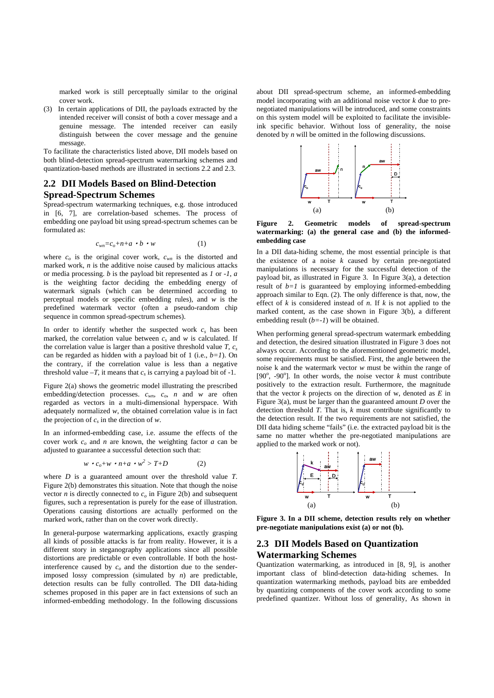marked work is still perceptually similar to the original cover work.

(3) In certain applications of DII, the payloads extracted by the intended receiver will consist of both a cover message and a genuine message. The intended receiver can easily distinguish between the cover message and the genuine message.

To facilitate the characteristics listed above, DII models based on both blind-detection spread-spectrum watermarking schemes and quantization-based methods are illustrated in sections 2.2 and 2.3.

# **2.2 DII Models Based on Blind-Detection Spread-Spectrum Schemes**

Spread-spectrum watermarking techniques, e.g. those introduced in [6, 7], are correlation-based schemes. The process of embedding one payload bit using spread-spectrum schemes can be formulated as:

$$
c_{wn} = c_o + n + a \cdot b \cdot w \tag{1}
$$

where  $c<sub>o</sub>$  is the original cover work,  $c<sub>wn</sub>$  is the distorted and marked work, *n* is the additive noise caused by malicious attacks or media processing. *b* is the payload bit represented as *1* or *-1*, *a* is the weighting factor deciding the embedding energy of watermark signals (which can be determined according to perceptual models or specific embedding rules), and *w* is the predefined watermark vector (often a pseudo-random chip sequence in common spread-spectrum schemes).

In order to identify whether the suspected work  $c_s$  has been marked, the correlation value between  $c_s$  and  $w$  is calculated. If the correlation value is larger than a positive threshold value  $T$ ,  $c_s$ can be regarded as hidden with a payload bit of 1 (i.e., *b=1*). On the contrary, if the correlation value is less than a negative threshold value  $-T$ , it means that  $c_s$  is carrying a payload bit of -1.

Figure 2(a) shows the geometric model illustrating the prescribed embedding/detection processes.  $c_{wn}$ ,  $c_o$ , *n* and *w* are often regarded as vectors in a multi-dimensional hyperspace. With adequately normalized *w*, the obtained correlation value is in fact the projection of  $c_s$  in the direction of  $w$ .

In an informed-embedding case, i.e. assume the effects of the cover work *co* and *n* are known, the weighting factor *a* can be adjusted to guarantee a successful detection such that:

$$
w \cdot c_o + w \cdot n + a \cdot w^2 > T + D \tag{2}
$$

where *D* is a guaranteed amount over the threshold value *T*. Figure 2(b) demonstrates this situation. Note that though the noise vector *n* is directly connected to  $c<sub>o</sub>$  in Figure 2(b) and subsequent figures, such a representation is purely for the ease of illustration. Operations causing distortions are actually performed on the marked work, rather than on the cover work directly.

In general-purpose watermarking applications, exactly grasping all kinds of possible attacks is far from reality. However, it is a different story in steganography applications since all possible distortions are predictable or even controllable. If both the hostinterference caused by  $c<sub>o</sub>$  and the distortion due to the senderimposed lossy compression (simulated by *n*) are predictable, detection results can be fully controlled. The DII data-hiding schemes proposed in this paper are in fact extensions of such an informed-embedding methodology. In the following discussions

about DII spread-spectrum scheme, an informed-embedding model incorporating with an additional noise vector *k* due to prenegotiated manipulations will be introduced, and some constraints on this system model will be exploited to facilitate the invisibleink specific behavior. Without loss of generality, the noise denoted by *n* will be omitted in the following discussions.



**Figure 2. Geometric models of spread-spectrum watermarking: (a) the general case and (b) the informedembedding case** 

In a DII data-hiding scheme, the most essential principle is that the existence of a noise *k* caused by certain pre-negotiated manipulations is necessary for the successful detection of the payload bit, as illustrated in Figure 3. In Figure 3(a), a detection result of  $b=1$  is guaranteed by employing informed-embedding approach similar to Eqn. (2). The only difference is that, now, the effect of *k* is considered instead of *n*. If *k* is not applied to the marked content, as the case shown in Figure 3(b), a different embedding result (*b=-1*) will be obtained.

When performing general spread-spectrum watermark embedding and detection, the desired situation illustrated in Figure 3 does not always occur. According to the aforementioned geometric model, some requirements must be satisfied. First, the angle between the noise k and the watermark vector *w* must be within the range of [90 $^{\circ}$ , -90 $^{\circ}$ ]. In other words, the noise vector *k* must contribute positively to the extraction result. Furthermore, the magnitude that the vector  $k$  projects on the direction of w, denoted as  $E$  in Figure 3(a), must be larger than the guaranteed amount *D* over the detection threshold *T*. That is, *k* must contribute significantly to the detection result. If the two requirements are not satisfied, the DII data hiding scheme "fails" (i.e. the extracted payload bit is the same no matter whether the pre-negotiated manipulations are applied to the marked work or not).



**Figure 3. In a DII scheme, detection results rely on whether pre-negotiate manipulations exist (a) or not (b).** 

# **2.3 DII Models Based on Quantization Watermarking Schemes**

Quantization watermarking, as introduced in [8, 9], is another important class of blind-detection data-hiding schemes. In quantization watermarking methods, payload bits are embedded by quantizing components of the cover work according to some predefined quantizer. Without loss of generality, As shown in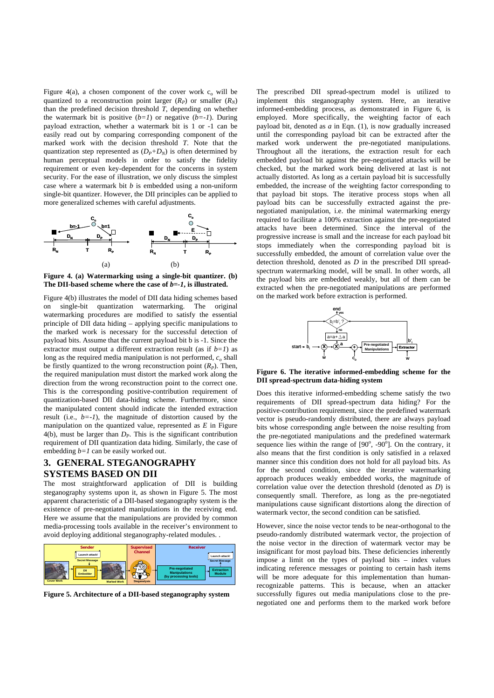Figure 4(a), a chosen component of the cover work  $c_0$  will be quantized to a reconstruction point larger  $(R_P)$  or smaller  $(R_N)$ than the predefined decision threshold *T*, depending on whether the watermark bit is positive  $(b=1)$  or negative  $(b=-1)$ . During payload extraction, whether a watermark bit is 1 or -1 can be easily read out by comparing corresponding component of the marked work with the decision threshold *T*. Note that the quantization step represented as  $(D_P + D_N)$  is often determined by human perceptual models in order to satisfy the fidelity requirement or even key-dependent for the concerns in system security. For the ease of illustration, we only discuss the simplest case where a watermark bit *b* is embedded using a non-uniform single-bit quantizer. However, the DII principles can be applied to more generalized schemes with careful adjustments.



**Figure 4. (a) Watermarking using a single-bit quantizer. (b) The DII-based scheme where the case of** *b=-1***, is illustrated.** 

Figure 4(b) illustrates the model of DII data hiding schemes based on single-bit quantization watermarking. The original watermarking procedures are modified to satisfy the essential principle of DII data hiding – applying specific manipulations to the marked work is necessary for the successful detection of payload bits. Assume that the current payload bit b is -1. Since the extractor must output a different extraction result (as if  $b=1$ ) as long as the required media manipulation is not performed,  $c<sub>o</sub>$  shall be firstly quantized to the wrong reconstruction point  $(R<sub>P</sub>)$ . Then, the required manipulation must distort the marked work along the direction from the wrong reconstruction point to the correct one. This is the corresponding positive-contribution requirement of quantization-based DII data-hiding scheme. Furthermore, since the manipulated content should indicate the intended extraction result (i.e.,  $b=-1$ ), the magnitude of distortion caused by the manipulation on the quantized value, represented as *E* in Figure 4(b), must be larger than *DP*. This is the significant contribution requirement of DII quantization data hiding. Similarly, the case of embedding *b=1* can be easily worked out.

# **3. GENERAL STEGANOGRAPHY SYSTEMS BASED ON DII**

The most straightforward application of DII is building steganography systems upon it, as shown in Figure 5. The most apparent characteristic of a DII-based steganography system is the existence of pre-negotiated manipulations in the receiving end. Here we assume that the manipulations are provided by common media-processing tools available in the receiver's environment to avoid deploying additional steganography-related modules. .



**Figure 5. Architecture of a DII-based steganography system** 

The prescribed DII spread-spectrum model is utilized to implement this steganography system. Here, an iterative informed-embedding process, as demonstrated in Figure 6, is employed. More specifically, the weighting factor of each payload bit, denoted as *a* in Eqn. (1), is now gradually increased until the corresponding payload bit can be extracted after the marked work underwent the pre-negotiated manipulations. Throughout all the iterations, the extraction result for each embedded payload bit against the pre-negotiated attacks will be checked, but the marked work being delivered at last is not actually distorted. As long as a certain payload bit is successfully embedded, the increase of the weighting factor corresponding to that payload bit stops. The iterative process stops when all payload bits can be successfully extracted against the prenegotiated manipulation, i.e. the minimal watermarking energy required to facilitate a 100% extraction against the pre-negotiated attacks have been determined. Since the interval of the progressive increase is small and the increase for each payload bit stops immediately when the corresponding payload bit is successfully embedded, the amount of correlation value over the detection threshold, denoted as *D* in the prescribed DII spreadspectrum watermarking model, will be small. In other words, all the payload bits are embedded weakly, but all of them can be extracted when the pre-negotiated manipulations are performed on the marked work before extraction is performed.



**Figure 6. The iterative informed-embedding scheme for the DII spread-spectrum data-hiding system** 

Does this iterative informed-embedding scheme satisfy the two requirements of DII spread-spectrum data hiding? For the positive-contribution requirement, since the predefined watermark vector is pseudo-randomly distributed, there are always payload bits whose corresponding angle between the noise resulting from the pre-negotiated manipulations and the predefined watermark sequence lies within the range of  $[90^\circ, -90^\circ]$ . On the contrary, it also means that the first condition is only satisfied in a relaxed manner since this condition does not hold for all payload bits. As for the second condition, since the iterative watermarking approach produces weakly embedded works, the magnitude of correlation value over the detection threshold (denoted as *D*) is consequently small. Therefore, as long as the pre-negotiated manipulations cause significant distortions along the direction of watermark vector, the second condition can be satisfied.

However, since the noise vector tends to be near-orthogonal to the pseudo-randomly distributed watermark vector, the projection of the noise vector in the direction of watermark vector may be insignificant for most payload bits. These deficiencies inherently impose a limit on the types of payload bits – index values indicating reference messages or pointing to certain hash items will be more adequate for this implementation than humanrecognizable patterns. This is because, when an attacker successfully figures out media manipulations close to the prenegotiated one and performs them to the marked work before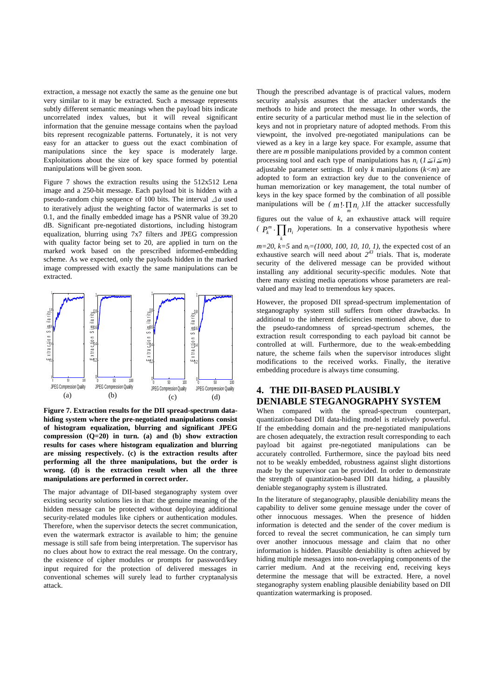extraction, a message not exactly the same as the genuine one but very similar to it may be extracted. Such a message represents subtly different semantic meanings when the payload bits indicate uncorrelated index values, but it will reveal significant information that the genuine message contains when the payload bits represent recognizable patterns. Fortunately, it is not very easy for an attacker to guess out the exact combination of manipulations since the key space is moderately large. Exploitations about the size of key space formed by potential manipulations will be given soon.

Figure 7 shows the extraction results using the 512x512 Lena image and a 250-bit message. Each payload bit is hidden with a pseudo-random chip sequence of 100 bits. The interval Δ*a* used to iteratively adjust the weighting factor of watermarks is set to 0.1, and the finally embedded image has a PSNR value of 39.20 dB. Significant pre-negotiated distortions, including histogram equalization, blurring using 7x7 filters and JPEG compression with quality factor being set to 20, are applied in turn on the marked work based on the prescribed informed-embedding scheme. As we expected, only the payloads hidden in the marked image compressed with exactly the same manipulations can be extracted.



**Figure 7. Extraction results for the DII spread-spectrum datahiding system where the pre-negotiated manipulations consist of histogram equalization, blurring and significant JPEG compression (Q=20) in turn. (a) and (b) show extraction results for cases where histogram equalization and blurring are missing respectively. (c) is the extraction results after performing all the three manipulations, but the order is wrong. (d) is the extraction result when all the three manipulations are performed in correct order.** 

The major advantage of DII-based steganography system over existing security solutions lies in that: the genuine meaning of the hidden message can be protected without deploying additional security-related modules like ciphers or authentication modules. Therefore, when the supervisor detects the secret communication, even the watermark extractor is available to him; the genuine message is still safe from being interpretation. The supervisor has no clues about how to extract the real message. On the contrary, the existence of cipher modules or prompts for password/key input required for the protection of delivered messages in conventional schemes will surely lead to further cryptanalysis attack.

Though the prescribed advantage is of practical values, modern security analysis assumes that the attacker understands the methods to hide and protect the message. In other words, the entire security of a particular method must lie in the selection of keys and not in proprietary nature of adopted methods. From this viewpoint, the involved pre-negotiated manipulations can be viewed as a key in a large key space. For example, assume that there are *m* possible manipulations provided by a common content processing tool and each type of manipulations has  $n_i$  ( $1 \leq i \leq m$ ) adjustable parameter settings. If only  $k$  manipulations  $(k < m)$  are adopted to form an extraction key due to the convenience of human memorization or key management, the total number of keys in the key space formed by the combination of all possible manipulations will be  $(m! \cdot \prod n_i)$ . If the attacker successfully

figures out the value of *k*, an exhaustive attack will require *(*  $P_k^m \cdot \prod_k n_i$  ) operations. In a conservative hypothesis where

*m=20*, *k=5* and *ni=(1000, 100, 10, 10, 1)*, the expected cost of an exhaustive search will need about  $2^{43}$  trials. That is, moderate security of the delivered message can be provided without installing any additional security-specific modules. Note that there many existing media operations whose parameters are realvalued and may lead to tremendous key spaces.

However, the proposed DII spread-spectrum implementation of steganography system still suffers from other drawbacks. In additional to the inherent deficiencies mentioned above, due to the pseudo-randomness of spread-spectrum schemes, the extraction result corresponding to each payload bit cannot be controlled at will. Furthermore, due to the weak-embedding nature, the scheme fails when the supervisor introduces slight modifications to the received works. Finally, the iterative embedding procedure is always time consuming.

# **4. THE DII-BASED PLAUSIBLY DENIABLE STEGANOGRAPHY SYSTEM**

When compared with the spread-spectrum counterpart, quantization-based DII data-hiding model is relatively powerful. If the embedding domain and the pre-negotiated manipulations are chosen adequately, the extraction result corresponding to each payload bit against pre-negotiated manipulations can be accurately controlled. Furthermore, since the payload bits need not to be weakly embedded, robustness against slight distortions made by the supervisor can be provided. In order to demonstrate the strength of quantization-based DII data hiding, a plausibly deniable steganography system is illustrated.

In the literature of steganography, plausible deniability means the capability to deliver some genuine message under the cover of other innocuous messages. When the presence of hidden information is detected and the sender of the cover medium is forced to reveal the secret communication, he can simply turn over another innocuous message and claim that no other information is hidden. Plausible deniability is often achieved by hiding multiple messages into non-overlapping components of the carrier medium. And at the receiving end, receiving keys determine the message that will be extracted. Here, a novel steganography system enabling plausible deniability based on DII quantization watermarking is proposed.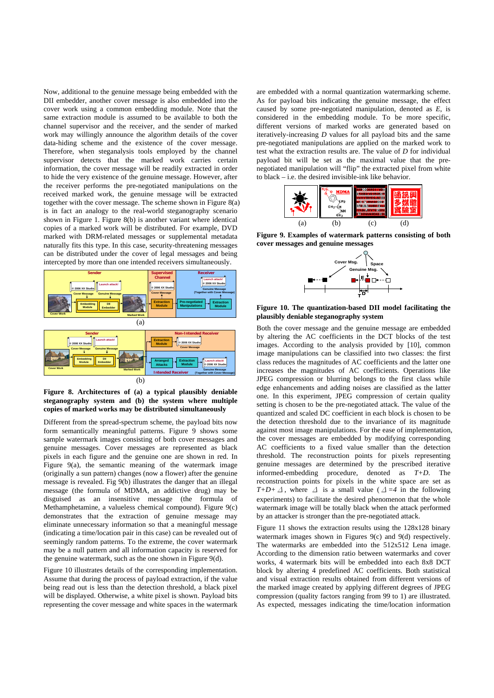Now, additional to the genuine message being embedded with the DII embedder, another cover message is also embedded into the cover work using a common embedding module. Note that the same extraction module is assumed to be available to both the channel supervisor and the receiver, and the sender of marked work may willingly announce the algorithm details of the cover data-hiding scheme and the existence of the cover message. Therefore, when steganalysis tools employed by the channel supervisor detects that the marked work carries certain information, the cover message will be readily extracted in order to hide the very existence of the genuine message. However, after the receiver performs the pre-negotiated manipulations on the received marked work, the genuine message will be extracted together with the cover message. The scheme shown in Figure 8(a) is in fact an analogy to the real-world steganography scenario shown in Figure 1. Figure 8(b) is another variant where identical copies of a marked work will be distributed. For example, DVD marked with DRM-related messages or supplemental metadata naturally fits this type. In this case, security-threatening messages can be distributed under the cover of legal messages and being intercepted by more than one intended receivers simultaneously.



**Figure 8. Architectures of (a) a typical plausibly deniable steganography system and (b) the system where multiple copies of marked works may be distributed simultaneously** 

Different from the spread-spectrum scheme, the payload bits now form semantically meaningful patterns. Figure 9 shows some sample watermark images consisting of both cover messages and genuine messages. Cover messages are represented as black pixels in each figure and the genuine one are shown in red. In Figure 9(a), the semantic meaning of the watermark image (originally a sun pattern) changes (now a flower) after the genuine message is revealed. Fig 9(b) illustrates the danger that an illegal message (the formula of MDMA, an addictive drug) may be disguised as an insensitive message (the formula of Methamphetamine, a valueless chemical compound). Figure 9(c) demonstrates that the extraction of genuine message may eliminate unnecessary information so that a meaningful message (indicating a time/location pair in this case) can be revealed out of seemingly random patterns. To the extreme, the cover watermark may be a null pattern and all information capacity is reserved for the genuine watermark, such as the one shown in Figure 9(d).

Figure 10 illustrates details of the corresponding implementation. Assume that during the process of payload extraction, if the value being read out is less than the detection threshold, a black pixel will be displayed. Otherwise, a white pixel is shown. Payload bits representing the cover message and white spaces in the watermark

are embedded with a normal quantization watermarking scheme. As for payload bits indicating the genuine message, the effect caused by some pre-negotiated manipulation, denoted as *E*, is considered in the embedding module. To be more specific, different versions of marked works are generated based on iteratively-increasing *D* values for all payload bits and the same pre-negotiated manipulations are applied on the marked work to test what the extraction results are. The value of *D* for individual payload bit will be set as the maximal value that the prenegotiated manipulation will "flip" the extracted pixel from white to black – i.e. the desired invisible-ink like behavior.



**Figure 9. Examples of watermark patterns consisting of both cover messages and genuine messages** 



**Figure 10. The quantization-based DII model facilitating the plausibly deniable steganography system** 

Both the cover message and the genuine message are embedded by altering the AC coefficients in the DCT blocks of the test images. According to the analysis provided by [10], common image manipulations can be classified into two classes: the first class reduces the magnitudes of AC coefficients and the latter one increases the magnitudes of AC coefficients. Operations like JPEG compression or blurring belongs to the first class while edge enhancements and adding noises are classified as the latter one. In this experiment, JPEG compression of certain quality setting is chosen to be the pre-negotiated attack. The value of the quantized and scaled DC coefficient in each block is chosen to be the detection threshold due to the invariance of its magnitude against most image manipulations. For the ease of implementation, the cover messages are embedded by modifying corresponding AC coefficients to a fixed value smaller than the detection threshold. The reconstruction points for pixels representing genuine messages are determined by the prescribed iterative informed-embedding procedure, denoted as *T+D*. The reconstruction points for pixels in the white space are set as *T+D+* $\Delta$ , where  $\Delta$  is a small value ( $\Delta = 4$  in the following experiments) to facilitate the desired phenomenon that the whole watermark image will be totally black when the attack performed by an attacker is stronger than the pre-negotiated attack.

Figure 11 shows the extraction results using the 128x128 binary watermark images shown in Figures 9(c) and 9(d) respectively. The watermarks are embedded into the 512x512 Lena image. According to the dimension ratio between watermarks and cover works, 4 watermark bits will be embedded into each 8x8 DCT block by altering 4 predefined AC coefficients. Both statistical and visual extraction results obtained from different versions of the marked image created by applying different degrees of JPEG compression (quality factors ranging from 99 to 1) are illustrated. As expected, messages indicating the time/location information